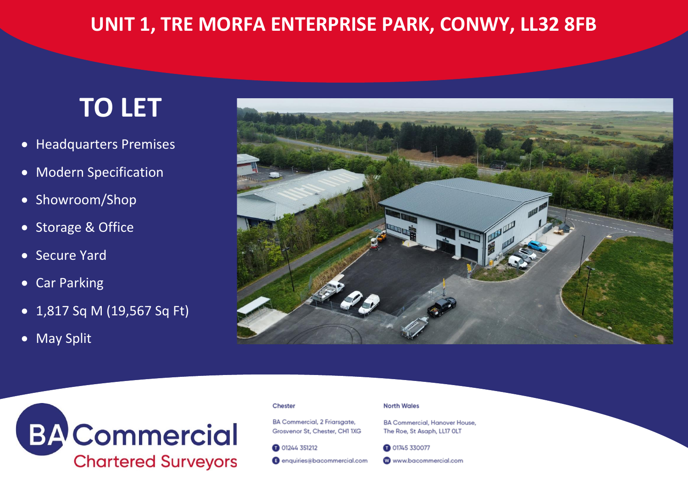# **TO LET**

- Headquarters Premises
- Modern Specification
- Showroom/Shop
- Storage & Office
- Secure Yard
- Car Parking
- 1,817 Sq M (19,567 Sq Ft)
- May Split





#### Chester

BA Commercial, 2 Friarsgate, Grosvenor St. Chester, CH1 1XG

**@ 01244 351212** 

enquiries@bacommercial.com

#### **North Wales**

**BA Commercial, Hanover House,** The Roe, St Asaph, LL17 OLT

**@ 01745 330077** 

**W** www.bacommercial.com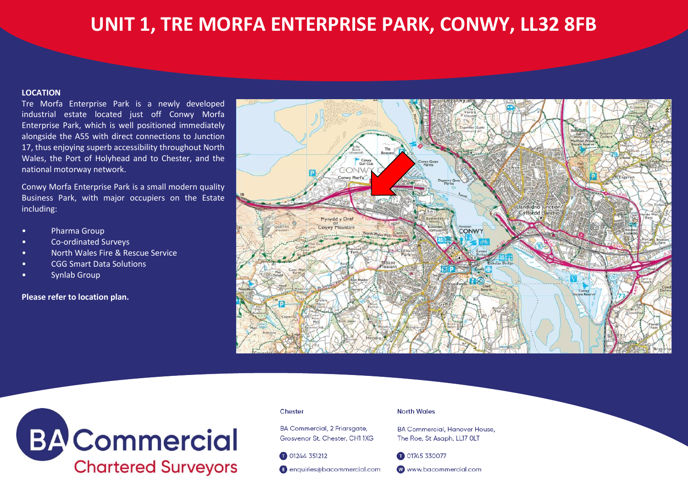#### **LOCATION**

Tre Morfa Enterprise Park is a newly developed industrial estate located just off Conwy Morfa Enterprise Park, which is well positioned immediately alongside the A55 with direct connections to Junction 17, thus enjoying superb accessibility throughout North Wales, the Port of Holyhead and to Chester, and the national motorway network.

Conwy Morfa Enterprise Park is a small modern quality Business Park, with major occupiers on the Estate including:

- Pharma Group
- Co-ordinated Surveys
- North Wales Fire & Rescue Service
- CGG Smart Data Solutions
- Synlab Group

# **Please refer to location plan.**





#### Chester

BA Commercial, 2 Friarsgate, Grosvenor St. Chester, CH1 1XG

01244 351212

**B** enquiries@bacommercial.com

**North Wales** 

**BA Commercial, Hanover House.** The Roe, St Asaph, LL17 OLT

01745 330077

**W** www.bacommercial.com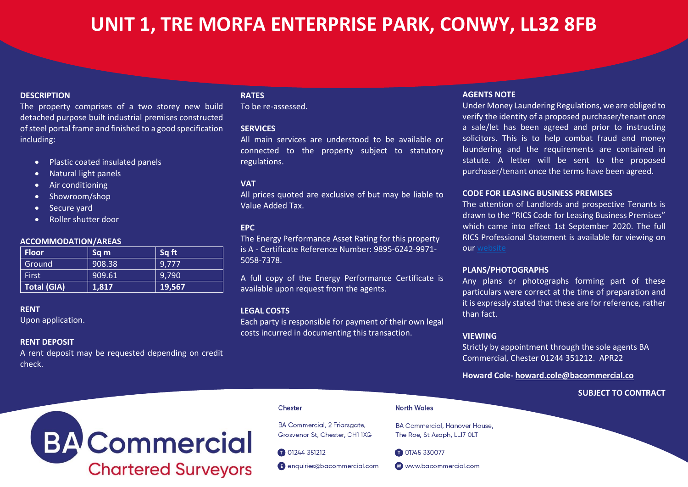## **DESCRIPTION**

The property comprises of a two storey new build detached purpose built industrial premises constructed of steel portal frame and finished to a good specification including:

- Plastic coated insulated panels
- Natural light panels
- Air conditioning
- Showroom/shop
- Secure yard
- Roller shutter door

#### **ACCOMMODATION/AREAS**

| <b>Floor</b>       | Sq m   | Sq ft  |
|--------------------|--------|--------|
| Ground             | 908.38 | 9,777  |
| <b>First</b>       | 909.61 | 9,790  |
| <b>Total (GIA)</b> | 1,817  | 19,567 |

#### **RENT**

Upon application.

### **RENT DEPOSIT**

A rent deposit may be requested depending on credit check.

# **RATES**

To be re-assessed.

### **SERVICES**

All main services are understood to be available or connected to the property subject to statutory regulations.

### **VAT**

All prices quoted are exclusive of but may be liable to Value Added Tax.

### **EPC**

The Energy Performance Asset Rating for this property is A - Certificate Reference Number: 9895-6242-9971- 5058-7378.

A full copy of the Energy Performance Certificate is available upon request from the agents.

### **LEGAL COSTS**

Each party is responsible for payment of their own legal costs incurred in documenting this transaction.

#### **AGENTS NOTE**

Under Money Laundering Regulations, we are obliged to verify the identity of a proposed purchaser/tenant once a sale/let has been agreed and prior to instructing solicitors. This is to help combat fraud and money laundering and the requirements are contained in statute. A letter will be sent to the proposed purchaser/tenant once the terms have been agreed.

### **CODE FOR LEASING BUSINESS PREMISES**

The attention of Landlords and prospective Tenants is drawn to the "RICS Code for Leasing Business Premises" which came into effect 1st September 2020. The full RICS Professional Statement is available for viewing on our [website](https://www.bacommercial.com/wp-content/uploads/2020/09/code-for-leasing_ps-version_feb-2020.pdf)

#### **PLANS/PHOTOGRAPHS**

Any plans or photographs forming part of these particulars were correct at the time of preparation and it is expressly stated that these are for reference, rather than fact.

### **VIEWING**

Strictly by appointment through the sole agents BA Commercial, Chester 01244 351212. APR22

**Howard Cole- [howard.cole@bacommercial.co](mailto:howard.cole@bacommercial.co)** 

## **SUBJECT TO CONTRACT**

# **BA** Commercial **Chartered Surveyors**

#### Chester

**BA Commercial, 2 Friarsgate,** Grosvenor St. Chester, CH1 1XG

01244 351212

enquiries@bacommercial.com

**North Wales** 

**BA Commercial, Hanover House,** The Roe, St Asaph, LL17 OLT

01745 330077

**W** www.bacommercial.com